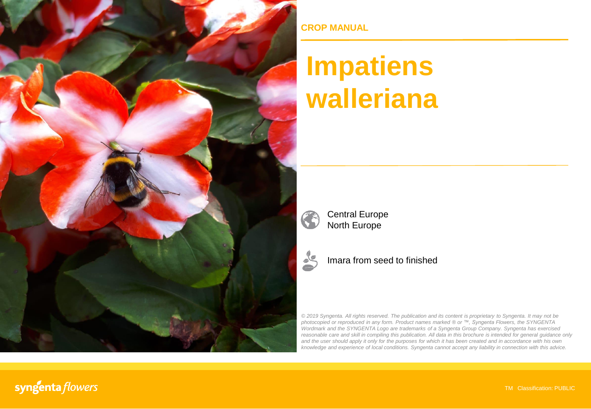

**CROP MANUAL**

## **Impatiens walleriana**



Central Europe North Europe



Imara from seed to finished

*© 2019 Syngenta. All rights reserved. The publication and its content is proprietary to Syngenta. It may not be photocopied or reproduced in any form. Product names marked ® or ™, Syngenta Flowers, the SYNGENTA Wordmark and the SYNGENTA Logo are trademarks of a Syngenta Group Company. Syngenta has exercised reasonable care and skill in compiling this publication. All data in this brochure is intended for general guidance only* and the user should apply it only for the purposes for which it has been created and in accordance with his own *knowledge and experience of local conditions. Syngenta cannot accept any liability in connection with this advice.*

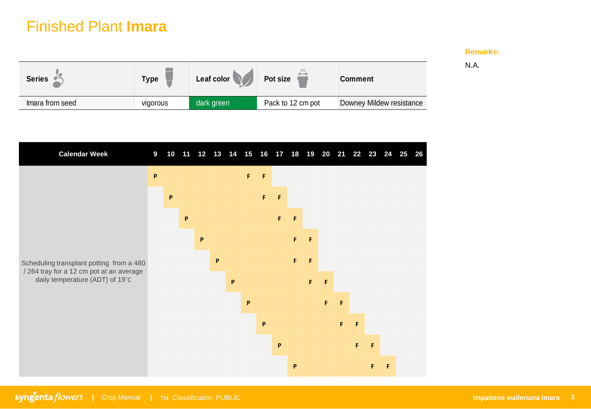## Finished Plant **Imara**

## **Remarks:**

N.A.

| <b>Series</b>   | Type     | Leaf color | Pot size          | <b>Comment</b>           |  |
|-----------------|----------|------------|-------------------|--------------------------|--|
| Imara from seed | vigorous | dark green | Pack to 12 cm pot | Downey Mildew resistance |  |
|                 |          |            |                   |                          |  |

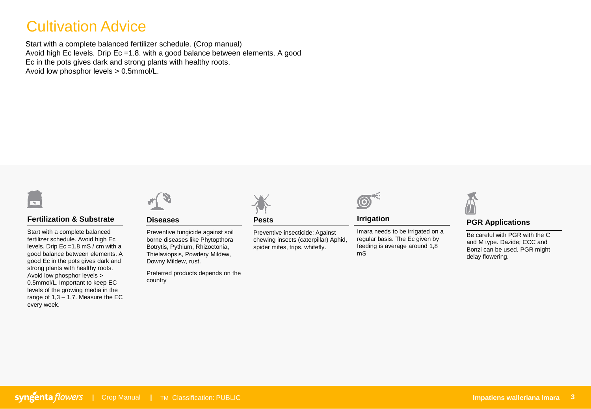## Cultivation Advice

Start with a complete balanced fertilizer schedule. (Crop manual) Avoid high Ec levels. Drip Ec =1.8. with a good balance between elements. A good Ec in the pots gives dark and strong plants with healthy roots. Avoid low phosphor levels > 0.5mmol/L.



## **Fertilization & Substrate**

Start with a complete balanced fertilizer schedule. Avoid high Ec levels. Drip Ec =1.8 mS / cm with a good balance between elements. A good Ec in the pots gives dark and strong plants with healthy roots. Avoid low phosphor levels > 0.5mmol/L. Important to keep EC levels of the growing media in the range of  $1,3 - 1,7$ . Measure the EC every week.



### **Diseases**

Preventive fungicide against soil borne diseases like Phytopthora Botrytis, Pythium, Rhizoctonia, Thielaviopsis, Powdery Mildew, Downy Mildew, rust.

Preferred products depends on the country



## **Pests**

Preventive insecticide: Against chewing insects (caterpillar) Aphid, spider mites, trips, whitefly.



## **Irrigation**

Imara needs to be irrigated on a regular basis. The Ec given by feeding is average around 1,8 mS



## **PGR Applications**

Be careful with PGR with the C and M type. Dazide; CCC and Bonzi can be used. PGR might delay flowering.